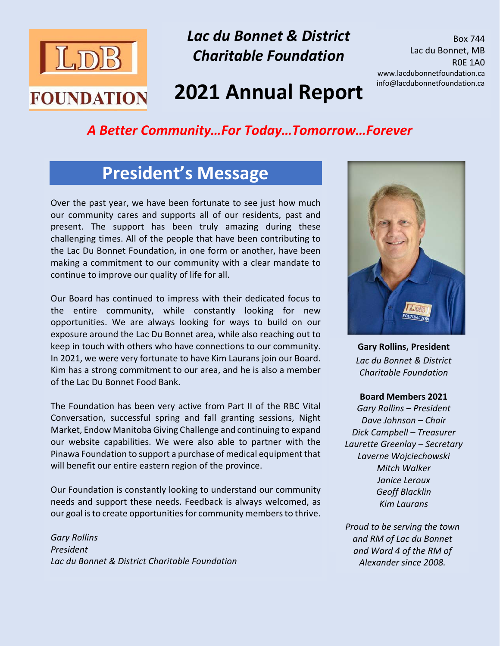

*Lac du Bonnet & District Charitable Foundation*

Box 744 Lac du Bonnet, MB R0E 1A0 www.lacdubonnetfoundation.ca info@lacdubonnetfoundation.ca

# **2021 Annual Report**

#### *A Better Community…For Today…Tomorrow…Forever*

### **President's Message**

Over the past year, we have been fortunate to see just how much our community cares and supports all of our residents, past and present. The support has been truly amazing during these challenging times. All of the people that have been contributing to the Lac Du Bonnet Foundation, in one form or another, have been making a commitment to our community with a clear mandate to continue to improve our quality of life for all.

Our Board has continued to impress with their dedicated focus to the entire community, while constantly looking for new opportunities. We are always looking for ways to build on our exposure around the Lac Du Bonnet area, while also reaching out to keep in touch with others who have connections to our community. In 2021, we were very fortunate to have Kim Laurans join our Board. Kim has a strong commitment to our area, and he is also a member of the Lac Du Bonnet Food Bank.

The Foundation has been very active from Part II of the RBC Vital Conversation, successful spring and fall granting sessions, Night Market, Endow Manitoba Giving Challenge and continuing to expand our website capabilities. We were also able to partner with the Pinawa Foundation to support a purchase of medical equipment that will benefit our entire eastern region of the province.

Our Foundation is constantly looking to understand our community needs and support these needs. Feedback is always welcomed, as our goal is to create opportunities for community members to thrive.

*Gary Rollins President Lac du Bonnet & District Charitable Foundation*



**Gary Rollins, President** *Lac du Bonnet & District Charitable Foundation*

#### **Board Members 2021**

*Gary Rollins – President Dave Johnson – Chair Dick Campbell – Treasurer Laurette Greenlay – Secretary Laverne Wojciechowski Mitch Walker Janice Leroux Geoff Blacklin Kim Laurans*

*Proud to be serving the town and RM of Lac du Bonnet and Ward 4 of the RM of Alexander since 2008.*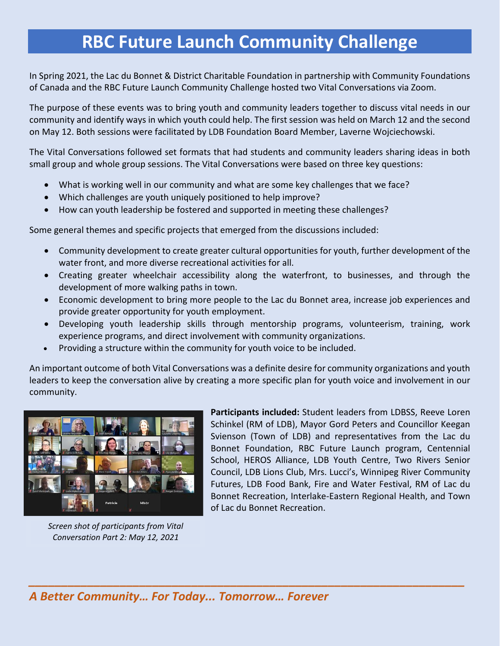## **RBC Future Launch Community Challenge**

In Spring 2021, the Lac du Bonnet & District Charitable Foundation in partnership with Community Foundations of Canada and the RBC Future Launch Community Challenge hosted two Vital Conversations via Zoom.

The purpose of these events was to bring youth and community leaders together to discuss vital needs in our community and identify ways in which youth could help. The first session was held on March 12 and the second on May 12. Both sessions were facilitated by LDB Foundation Board Member, Laverne Wojciechowski.

The Vital Conversations followed set formats that had students and community leaders sharing ideas in both small group and whole group sessions. The Vital Conversations were based on three key questions:

- What is working well in our community and what are some key challenges that we face?
- Which challenges are youth uniquely positioned to help improve?
- How can youth leadership be fostered and supported in meeting these challenges?

Some general themes and specific projects that emerged from the discussions included:

- Community development to create greater cultural opportunities for youth, further development of the water front, and more diverse recreational activities for all.
- Creating greater wheelchair accessibility along the waterfront, to businesses, and through the development of more walking paths in town.
- Economic development to bring more people to the Lac du Bonnet area, increase job experiences and provide greater opportunity for youth employment.
- Developing youth leadership skills through mentorship programs, volunteerism, training, work experience programs, and direct involvement with community organizations.
- Providing a structure within the community for youth voice to be included.

An important outcome of both Vital Conversations was a definite desire for community organizations and youth leaders to keep the conversation alive by creating a more specific plan for youth voice and involvement in our community.

*\_\_\_\_\_\_\_\_\_\_\_\_\_\_\_\_\_\_\_\_\_\_\_\_\_\_\_\_\_\_\_\_\_\_\_\_\_\_\_\_\_\_\_\_\_\_\_\_\_\_\_\_\_\_\_\_\_\_\_\_\_\_\_\_\_\_\_*



*Screen shot of participants from Vital Conversation Part 2: May 12, 2021*

**Participants included:** Student leaders from LDBSS, Reeve Loren Schinkel (RM of LDB), Mayor Gord Peters and Councillor Keegan Svienson (Town of LDB) and representatives from the Lac du Bonnet Foundation, RBC Future Launch program, Centennial School, HEROS Alliance, LDB Youth Centre, Two Rivers Senior Council, LDB Lions Club, Mrs. Lucci's, Winnipeg River Community Futures, LDB Food Bank, Fire and Water Festival, RM of Lac du Bonnet Recreation, Interlake-Eastern Regional Health, and Town of Lac du Bonnet Recreation.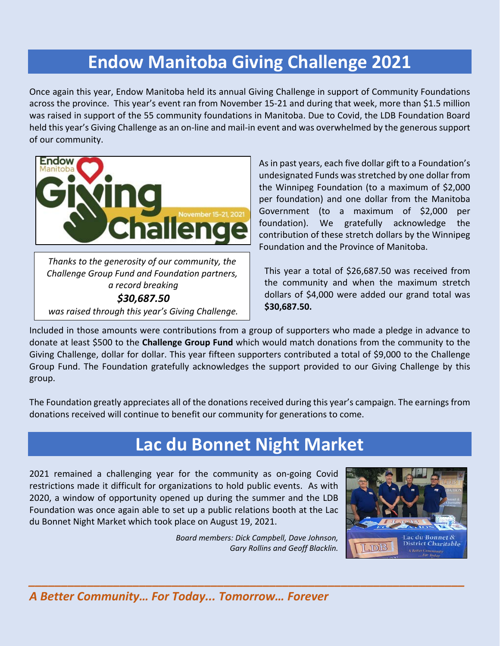## **Endow Manitoba Giving Challenge 2021**

Once again this year, Endow Manitoba held its annual Giving Challenge in support of Community Foundations across the province. This year's event ran from November 15-21 and during that week, more than \$1.5 million was raised in support of the 55 community foundations in Manitoba. Due to Covid, the LDB Foundation Board held this year's Giving Challenge as an on-line and mail-in event and was overwhelmed by the generous support of our community.



*Challenge Group Fund and Foundation partners, a record breaking \$30,687.50 was raised through this year's Giving Challenge.*

As in past years, each five dollar gift to a Foundation's undesignated Funds was stretched by one dollar from the Winnipeg Foundation (to a maximum of \$2,000 per foundation) and one dollar from the Manitoba Government (to a maximum of \$2,000 per foundation). We gratefully acknowledge the contribution of these stretch dollars by the Winnipeg Foundation and the Province of Manitoba.

This year a total of \$26,687.50 was received from the community and when the maximum stretch dollars of \$4,000 were added our grand total was **\$30,687.50.** 

Included in those amounts were contributions from a group of supporters who made a pledge in advance to donate at least \$500 to the **Challenge Group Fund** which would match donations from the community to the Giving Challenge, dollar for dollar. This year fifteen supporters contributed a total of \$9,000 to the Challenge Group Fund. The Foundation gratefully acknowledges the support provided to our Giving Challenge by this group.

The Foundation greatly appreciates all of the donations received during this year's campaign. The earnings from donations received will continue to benefit our community for generations to come.

## **Lac du Bonnet Night Market**

2021 remained a challenging year for the community as on-going Covid restrictions made it difficult for organizations to hold public events. As with 2020, a window of opportunity opened up during the summer and the LDB Foundation was once again able to set up a public relations booth at the Lac du Bonnet Night Market which took place on August 19, 2021.

> *Board members: Dick Campbell, Dave Johnson, Gary Rollins and Geoff Blacklin.*

*\_\_\_\_\_\_\_\_\_\_\_\_\_\_\_\_\_\_\_\_\_\_\_\_\_\_\_\_\_\_\_\_\_\_\_\_\_\_\_\_\_\_\_\_\_\_\_\_\_\_\_\_\_\_\_\_\_\_\_\_\_\_\_\_\_\_\_*



*A Better Community… For Today... Tomorrow… Forever*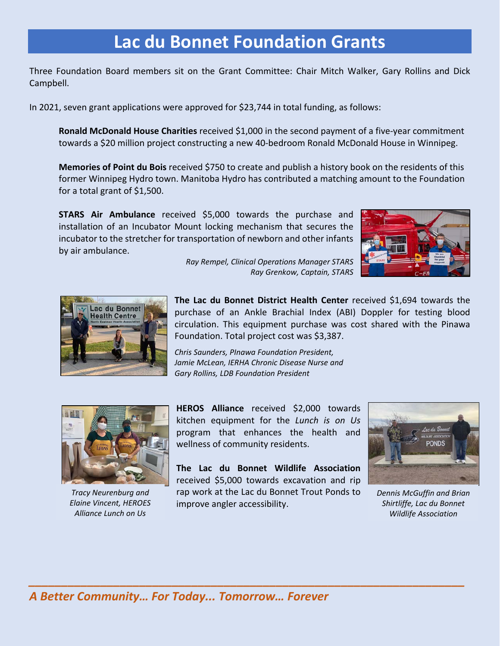## **Lac du Bonnet Foundation Grants**

Three Foundation Board members sit on the Grant Committee: Chair Mitch Walker, Gary Rollins and Dick Campbell.

In 2021, seven grant applications were approved for \$23,744 in total funding, as follows:

**Ronald McDonald House Charities** received \$1,000 in the second payment of a five-year commitment towards a \$20 million project constructing a new 40-bedroom Ronald McDonald House in Winnipeg.

**Memories of Point du Bois** received \$750 to create and publish a history book on the residents of this former Winnipeg Hydro town. Manitoba Hydro has contributed a matching amount to the Foundation for a total grant of \$1,500.

**STARS Air Ambulance** received \$5,000 towards the purchase and installation of an Incubator Mount locking mechanism that secures the incubator to the stretcher for transportation of newborn and other infants by air ambulance.





*Ray Rempel, Clinical Operations Manager STARS Ray Grenkow, Captain, STARS*

**The Lac du Bonnet District Health Center** received \$1,694 towards the purchase of an Ankle Brachial Index (ABI) Doppler for testing blood circulation. This equipment purchase was cost shared with the Pinawa Foundation. Total project cost was \$3,387.

*Chris Saunders, PInawa Foundation President, Jamie McLean, IERHA Chronic Disease Nurse and Gary Rollins, LDB Foundation President*



*Tracy Neurenburg and Elaine Vincent, HEROES Alliance Lunch on Us* 

**HEROS Alliance** received \$2,000 towards kitchen equipment for the *Lunch is on Us* program that enhances the health and wellness of community residents.

**The Lac du Bonnet Wildlife Association** received \$5,000 towards excavation and rip rap work at the Lac du Bonnet Trout Ponds to improve angler accessibility.



*Dennis McGuffin and Brian Shirtliffe, Lac du Bonnet Wildlife Association*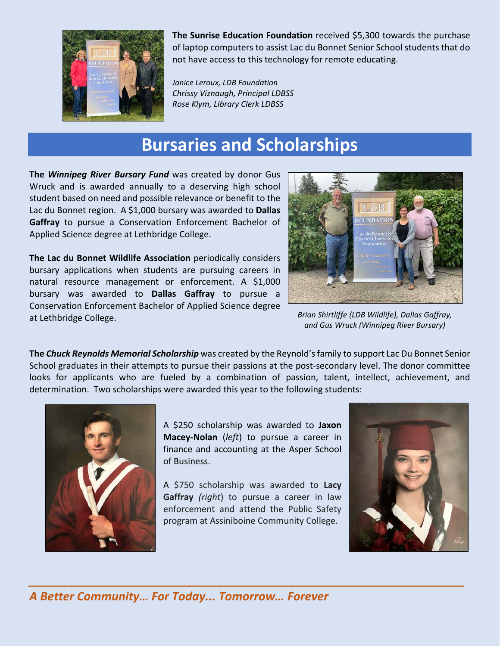

**The Sunrise Education Foundation** received \$5,300 towards the purchase of laptop computers to assist Lac du Bonnet Senior School students that do not have access to this technology for remote educating.

*Janice Leroux, LDB Foundation Chrissy Viznaugh, Principal LDBSS Rose Klym, Library Clerk LDBSS*

### **Bursaries and Scholarships**

**The** *Winnipeg River Bursary Fund* was created by donor Gus Wruck and is awarded annually to a deserving high school student based on need and possible relevance or benefit to the Lac du Bonnet region. A \$1,000 bursary was awarded to **Dallas Gaffray** to pursue a Conservation Enforcement Bachelor of Applied Science degree at Lethbridge College.

**The Lac du Bonnet Wildlife Association** periodically considers bursary applications when students are pursuing careers in natural resource management or enforcement. A \$1,000 bursary was awarded to **Dallas Gaffray** to pursue a Conservation Enforcement Bachelor of Applied Science degree at Lethbridge College.



*Brian Shirtliffe (LDB Wildlife), Dallas Gaffray, and Gus Wruck (Winnipeg River Bursary)*

**The** *Chuck Reynolds Memorial Scholarship* was created by the Reynold's family to support Lac Du Bonnet Senior School graduates in their attempts to pursue their passions at the post-secondary level. The donor committee looks for applicants who are fueled by a combination of passion, talent, intellect, achievement, and determination. Two scholarships were awarded this year to the following students:



A \$250 scholarship was awarded to **Jaxon Macey-Nolan** (*left*) to pursue a career in finance and accounting at the Asper School of Business.

A \$750 scholarship was awarded to **Lacy Gaffray** *(right*) to pursue a career in law enforcement and attend the Public Safety program at Assiniboine Community College.

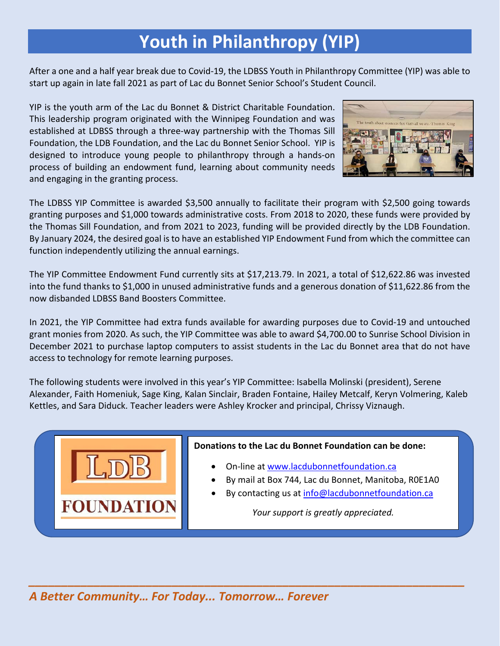## **Youth in Philanthropy (YIP)**

After a one and a half year break due to Covid-19, the LDBSS Youth in Philanthropy Committee (YIP) was able to start up again in late fall 2021 as part of Lac du Bonnet Senior School's Student Council.

YIP is the youth arm of the Lac du Bonnet & District Charitable Foundation. This leadership program originated with the Winnipeg Foundation and was established at LDBSS through a three-way partnership with the Thomas Sill Foundation, the LDB Foundation, and the Lac du Bonnet Senior School. YIP is designed to introduce young people to philanthropy through a hands-on process of building an endowment fund, learning about community needs and engaging in the granting process.



The LDBSS YIP Committee is awarded \$3,500 annually to facilitate their program with \$2,500 going towards granting purposes and \$1,000 towards administrative costs. From 2018 to 2020, these funds were provided by the Thomas Sill Foundation, and from 2021 to 2023, funding will be provided directly by the LDB Foundation. By January 2024, the desired goal is to have an established YIP Endowment Fund from which the committee can function independently utilizing the annual earnings.

The YIP Committee Endowment Fund currently sits at \$17,213.79. In 2021, a total of \$12,622.86 was invested into the fund thanks to \$1,000 in unused administrative funds and a generous donation of \$11,622.86 from the now disbanded LDBSS Band Boosters Committee.

In 2021, the YIP Committee had extra funds available for awarding purposes due to Covid-19 and untouched grant monies from 2020. As such, the YIP Committee was able to award \$4,700.00 to Sunrise School Division in December 2021 to purchase laptop computers to assist students in the Lac du Bonnet area that do not have access to technology for remote learning purposes.

The following students were involved in this year's YIP Committee: Isabella Molinski (president), Serene Alexander, Faith Homeniuk, Sage King, Kalan Sinclair, Braden Fontaine, Hailey Metcalf, Keryn Volmering, Kaleb Kettles, and Sara Diduck. Teacher leaders were Ashley Krocker and principal, Chrissy Viznaugh.

*\_\_\_\_\_\_\_\_\_\_\_\_\_\_\_\_\_\_\_\_\_\_\_\_\_\_\_\_\_\_\_\_\_\_\_\_\_\_\_\_\_\_\_\_\_\_\_\_\_\_\_\_\_\_\_\_\_\_\_\_\_\_\_\_\_\_\_*



#### **Donations to the Lac du Bonnet Foundation can be done:**

- On-line at [www.lacdubonnetfoundation.ca](http://www.lacdubonnetfoundation.ca/)
- By mail at Box 744, Lac du Bonnet, Manitoba, R0E1A0
- By contacting us at [info@lacdubonnetfoundation.ca](mailto:info@lacdubonnetfoundation.ca)

*Your support is greatly appreciated.*

*A Better Community… For Today... Tomorrow… Forever*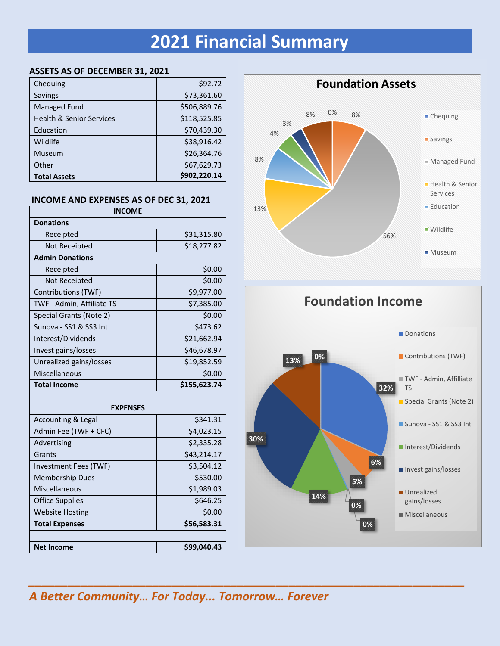# **2021 Financial Summary**

#### **ASSETS AS OF DECEMBER 31, 2021**

| Chequing                            | \$92.72      |
|-------------------------------------|--------------|
| <b>Savings</b>                      | \$73,361.60  |
| Managed Fund                        | \$506,889.76 |
| <b>Health &amp; Senior Services</b> | \$118,525.85 |
| Education                           | \$70,439.30  |
| Wildlife                            | \$38,916.42  |
| Museum                              | \$26,364.76  |
| Other                               | \$67,629.73  |
| <b>Total Assets</b>                 | \$902,220.14 |

#### **INCOME AND EXPENSES AS OF DEC 31, 2021**

| <b>INCOME</b>                 |              |  |  |  |
|-------------------------------|--------------|--|--|--|
| <b>Donations</b>              |              |  |  |  |
| Receipted                     | \$31,315.80  |  |  |  |
| Not Receipted                 | \$18,277.82  |  |  |  |
| <b>Admin Donations</b>        |              |  |  |  |
| Receipted                     | \$0.00       |  |  |  |
| Not Receipted                 | \$0.00       |  |  |  |
| Contributions (TWF)           | \$9,977.00   |  |  |  |
| TWF - Admin, Affiliate TS     | \$7,385.00   |  |  |  |
| Special Grants (Note 2)       | \$0.00       |  |  |  |
| Sunova - SS1 & SS3 Int        | \$473.62     |  |  |  |
| Interest/Dividends            | \$21,662.94  |  |  |  |
| Invest gains/losses           | \$46,678.97  |  |  |  |
| Unrealized gains/losses       | \$19,852.59  |  |  |  |
| Miscellaneous                 | \$0.00       |  |  |  |
|                               |              |  |  |  |
| <b>Total Income</b>           | \$155,623.74 |  |  |  |
|                               |              |  |  |  |
| <b>EXPENSES</b>               |              |  |  |  |
| <b>Accounting &amp; Legal</b> | \$341.31     |  |  |  |
| Admin Fee (TWF + CFC)         | \$4,023.15   |  |  |  |
| Advertising                   | \$2,335.28   |  |  |  |
| Grants                        | \$43,214.17  |  |  |  |
| Investment Fees (TWF)         | \$3,504.12   |  |  |  |
| <b>Membership Dues</b>        | \$530.00     |  |  |  |
| Miscellaneous                 | \$1,989.03   |  |  |  |
| <b>Office Supplies</b>        | \$646.25     |  |  |  |
| <b>Website Hosting</b>        | \$0.00       |  |  |  |
| <b>Total Expenses</b>         | \$56,583.31  |  |  |  |
|                               |              |  |  |  |





#### *A Better Community… For Today... Tomorrow… Forever*